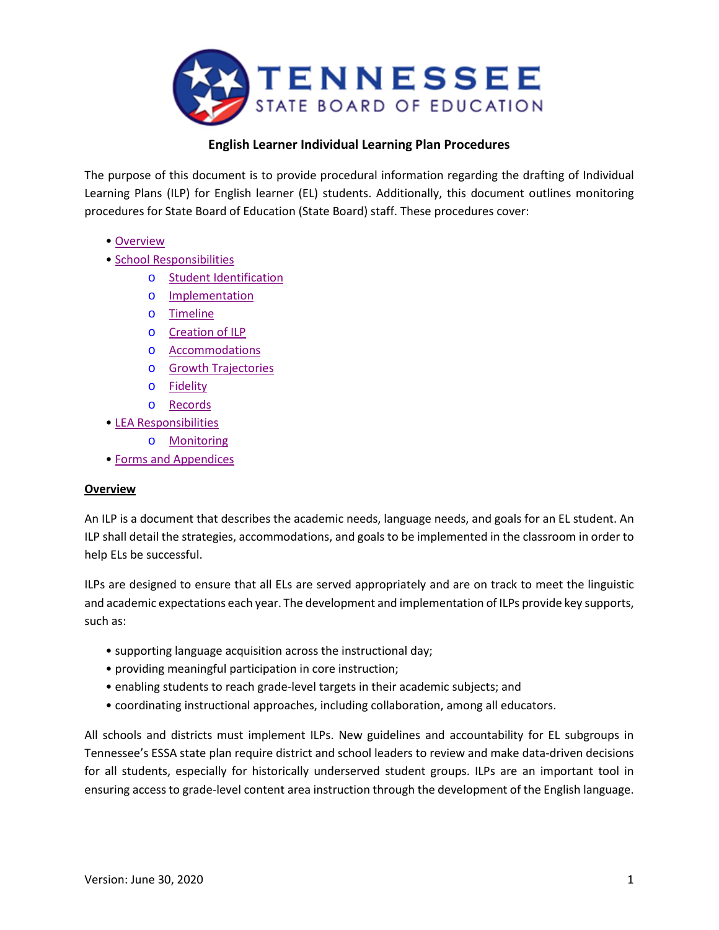

## **English Learner Individual Learning Plan Procedures**

The purpose of this document is to provide procedural information regarding the drafting of Individual Learning Plans (ILP) for English learner (EL) students. Additionally, this document outlines monitoring procedures for State Board of Education (State Board) staff. These procedures cover:

- • [Overview](#page-0-0)
- • [School Responsibilities](#page-0-0)
	- o [Student Identification](#page-1-0)
	- o [Implementation](#page-1-1)
	- o [Timeline](#page-1-2)
	- o [Creation of ILP](#page-2-0)
	- o [Accommodations](#page-2-1)
	- o [Growth Trajectories](#page-2-2)
	- o [Fidelity](#page-3-0)
	- o [Records](#page-3-1)
- • [LEA Responsibilities](#page-3-2)
	- o [Monitoring](#page-3-3)
- • [Forms and Appendices](#page-4-0)

#### <span id="page-0-0"></span>**Overview**

An ILP is a document that describes the academic needs, language needs, and goals for an EL student. An ILP shall detail the strategies, accommodations, and goals to be implemented in the classroom in order to help ELs be successful.

ILPs are designed to ensure that all ELs are served appropriately and are on track to meet the linguistic and academic expectations each year. The development and implementation of ILPs provide key supports, such as:

- supporting language acquisition across the instructional day;
- providing meaningful participation in core instruction;
- enabling students to reach grade-level targets in their academic subjects; and
- coordinating instructional approaches, including collaboration, among all educators.

All schools and districts must implement ILPs. New guidelines and accountability for EL subgroups in Tennessee's ESSA state plan require district and school leaders to review and make data-driven decisions for all students, especially for historically underserved student groups. ILPs are an important tool in ensuring access to grade-level content area instruction through the development of the English language.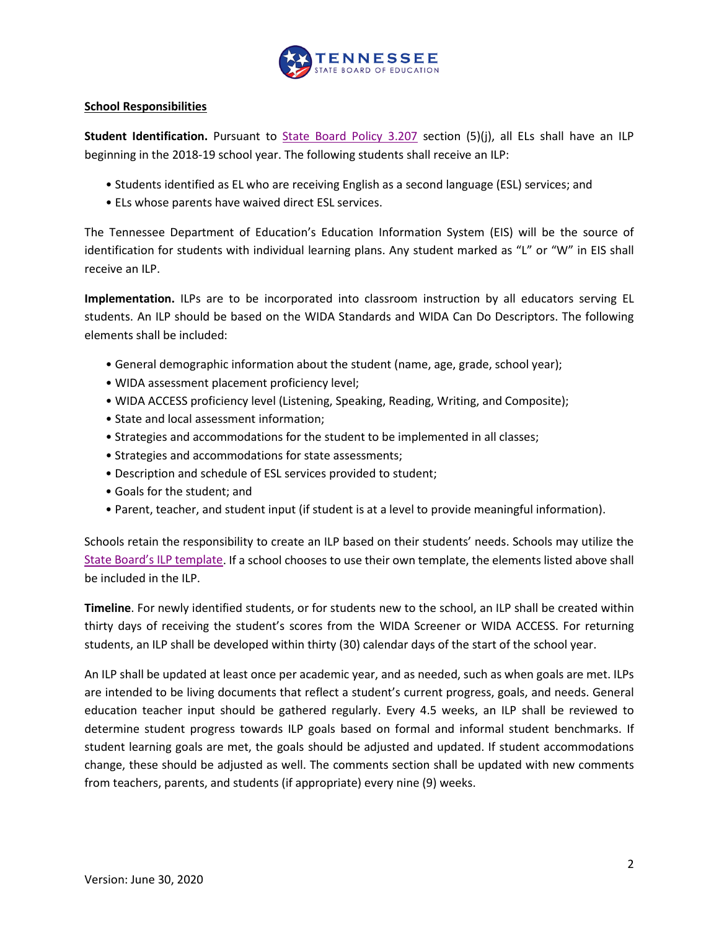

#### **School Responsibilities**

<span id="page-1-0"></span>**Student Identification.** Pursuant to [State Board Policy 3.207](https://www.tn.gov/content/dam/tn/stateboardofeducation/documents/policies/3000/3.207%20ESL%20Program%20Policy%207-27-18.pdf) section (5)(j), all ELs shall have an ILP beginning in the 2018-19 school year. The following students shall receive an ILP:

- Students identified as EL who are receiving English as a second language (ESL) services; and
- ELs whose parents have waived direct ESL services.

The Tennessee Department of Education's Education Information System (EIS) will be the source of identification for students with individual learning plans. Any student marked as "L" or "W" in EIS shall receive an ILP.

<span id="page-1-1"></span>**Implementation.** ILPs are to be incorporated into classroom instruction by all educators serving EL students. An ILP should be based on the WIDA Standards and WIDA Can Do Descriptors. The following elements shall be included:

- General demographic information about the student (name, age, grade, school year);
- WIDA assessment placement proficiency level;
- WIDA ACCESS proficiency level (Listening, Speaking, Reading, Writing, and Composite);
- State and local assessment information;
- Strategies and accommodations for the student to be implemented in all classes;
- Strategies and accommodations for state assessments;
- Description and schedule of ESL services provided to student;
- Goals for the student; and
- Parent, teacher, and student input (if student is at a level to provide meaningful information).

Schools retain the responsibility to create an ILP based on their students' needs. Schools may utilize the [State Board's ILP template.](#page-5-0) If a school chooses to use their own template, the elements listed above shall be included in the ILP.

<span id="page-1-2"></span>**Timeline**. For newly identified students, or for students new to the school, an ILP shall be created within thirty days of receiving the student's scores from the WIDA Screener or WIDA ACCESS. For returning students, an ILP shall be developed within thirty (30) calendar days of the start of the school year.

An ILP shall be updated at least once per academic year, and as needed, such as when goals are met. ILPs are intended to be living documents that reflect a student's current progress, goals, and needs. General education teacher input should be gathered regularly. Every 4.5 weeks, an ILP shall be reviewed to determine student progress towards ILP goals based on formal and informal student benchmarks. If student learning goals are met, the goals should be adjusted and updated. If student accommodations change, these should be adjusted as well. The comments section shall be updated with new comments from teachers, parents, and students (if appropriate) every nine (9) weeks.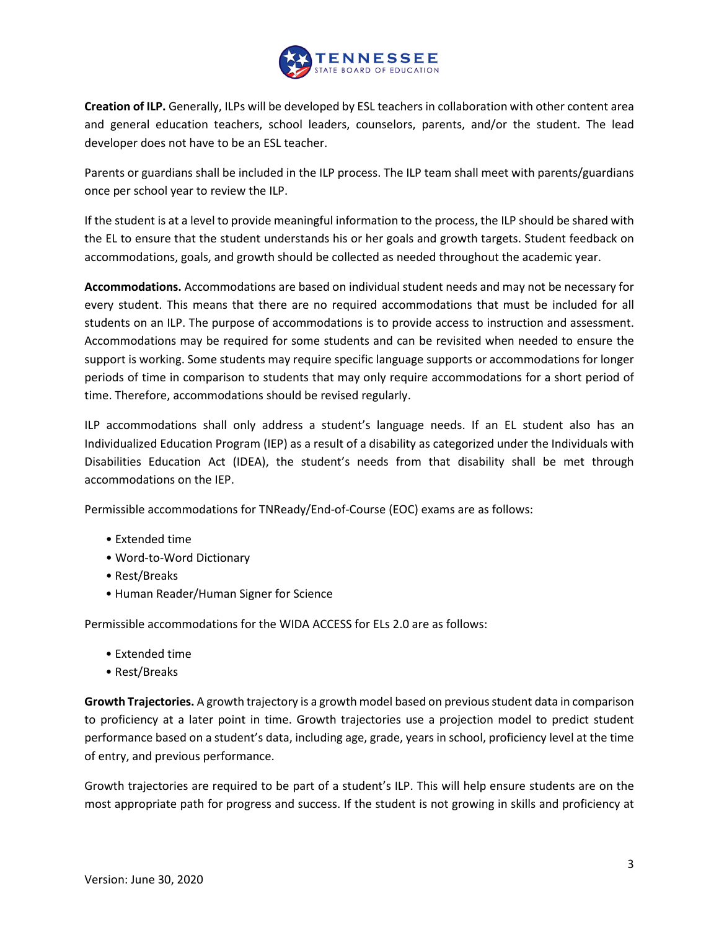

<span id="page-2-0"></span>**Creation of ILP.** Generally, ILPs will be developed by ESL teachers in collaboration with other content area and general education teachers, school leaders, counselors, parents, and/or the student. The lead developer does not have to be an ESL teacher.

Parents or guardians shall be included in the ILP process. The ILP team shall meet with parents/guardians once per school year to review the ILP.

If the student is at a level to provide meaningful information to the process, the ILP should be shared with the EL to ensure that the student understands his or her goals and growth targets. Student feedback on accommodations, goals, and growth should be collected as needed throughout the academic year.

<span id="page-2-1"></span>**Accommodations.** Accommodations are based on individual student needs and may not be necessary for every student. This means that there are no required accommodations that must be included for all students on an ILP. The purpose of accommodations is to provide access to instruction and assessment. Accommodations may be required for some students and can be revisited when needed to ensure the support is working. Some students may require specific language supports or accommodations for longer periods of time in comparison to students that may only require accommodations for a short period of time. Therefore, accommodations should be revised regularly.

ILP accommodations shall only address a student's language needs. If an EL student also has an Individualized Education Program (IEP) as a result of a disability as categorized under the Individuals with Disabilities Education Act (IDEA), the student's needs from that disability shall be met through accommodations on the IEP.

Permissible accommodations for TNReady/End-of-Course (EOC) exams are as follows:

- Extended time
- Word-to-Word Dictionary
- Rest/Breaks
- Human Reader/Human Signer for Science

Permissible accommodations for the WIDA ACCESS for ELs 2.0 are as follows:

- Extended time
- Rest/Breaks

<span id="page-2-2"></span>**Growth Trajectories.** A growth trajectory is a growth model based on previous student data in comparison to proficiency at a later point in time. Growth trajectories use a projection model to predict student performance based on a student's data, including age, grade, years in school, proficiency level at the time of entry, and previous performance.

Growth trajectories are required to be part of a student's ILP. This will help ensure students are on the most appropriate path for progress and success. If the student is not growing in skills and proficiency at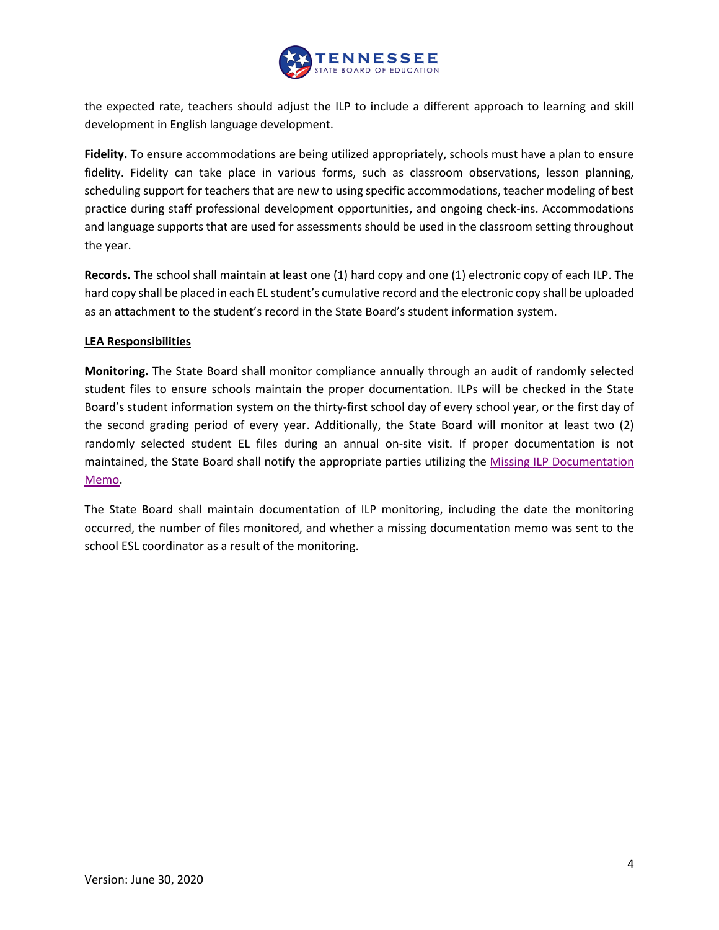

the expected rate, teachers should adjust the ILP to include a different approach to learning and skill development in English language development.

<span id="page-3-0"></span>**Fidelity.** To ensure accommodations are being utilized appropriately, schools must have a plan to ensure fidelity. Fidelity can take place in various forms, such as classroom observations, lesson planning, scheduling support for teachers that are new to using specific accommodations, teacher modeling of best practice during staff professional development opportunities, and ongoing check-ins. Accommodations and language supports that are used for assessments should be used in the classroom setting throughout the year.

<span id="page-3-1"></span>**Records.** The school shall maintain at least one (1) hard copy and one (1) electronic copy of each ILP. The hard copy shall be placed in each EL student's cumulative record and the electronic copy shall be uploaded as an attachment to the student's record in the State Board's student information system.

#### <span id="page-3-2"></span>**LEA Responsibilities**

<span id="page-3-3"></span>**Monitoring.** The State Board shall monitor compliance annually through an audit of randomly selected student files to ensure schools maintain the proper documentation. ILPs will be checked in the State Board's student information system on the thirty-first school day of every school year, or the first day of the second grading period of every year. Additionally, the State Board will monitor at least two (2) randomly selected student EL files during an annual on-site visit. If proper documentation is not maintained, the State Board shall notify the appropriate parties utilizing the [Missing ILP Documentation](#page-10-0)  [Memo.](#page-10-0)

The State Board shall maintain documentation of ILP monitoring, including the date the monitoring occurred, the number of files monitored, and whether a missing documentation memo was sent to the school ESL coordinator as a result of the monitoring.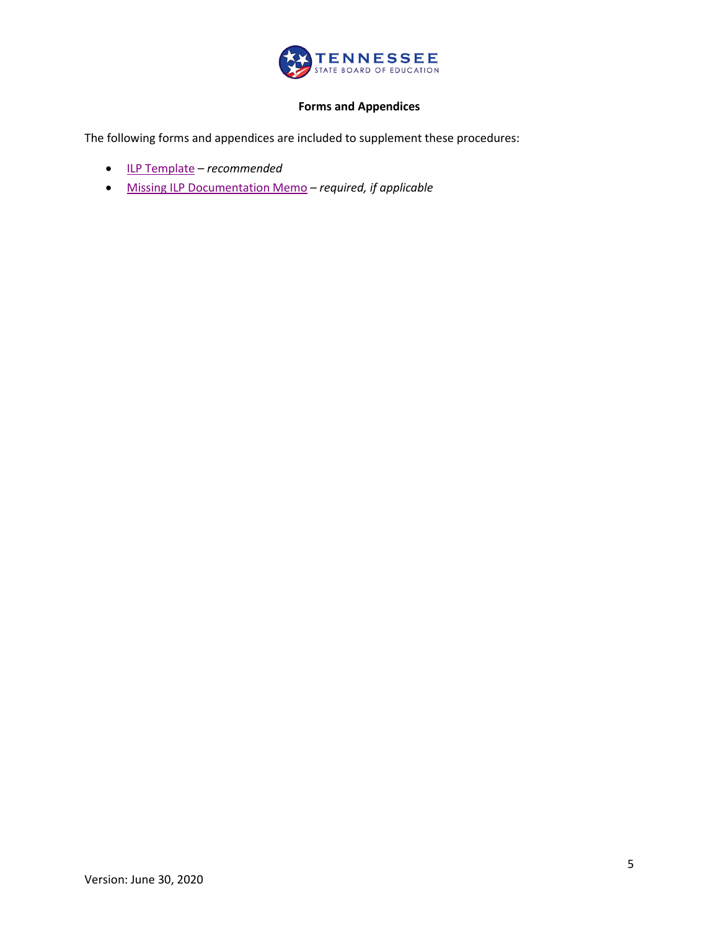

# **Forms and Appendices**

<span id="page-4-0"></span>The following forms and appendices are included to supplement these procedures:

- [ILP Template](#page-5-0) *recommended*
- [Missing ILP Documentation Memo](#page-10-0) *required, if applicable*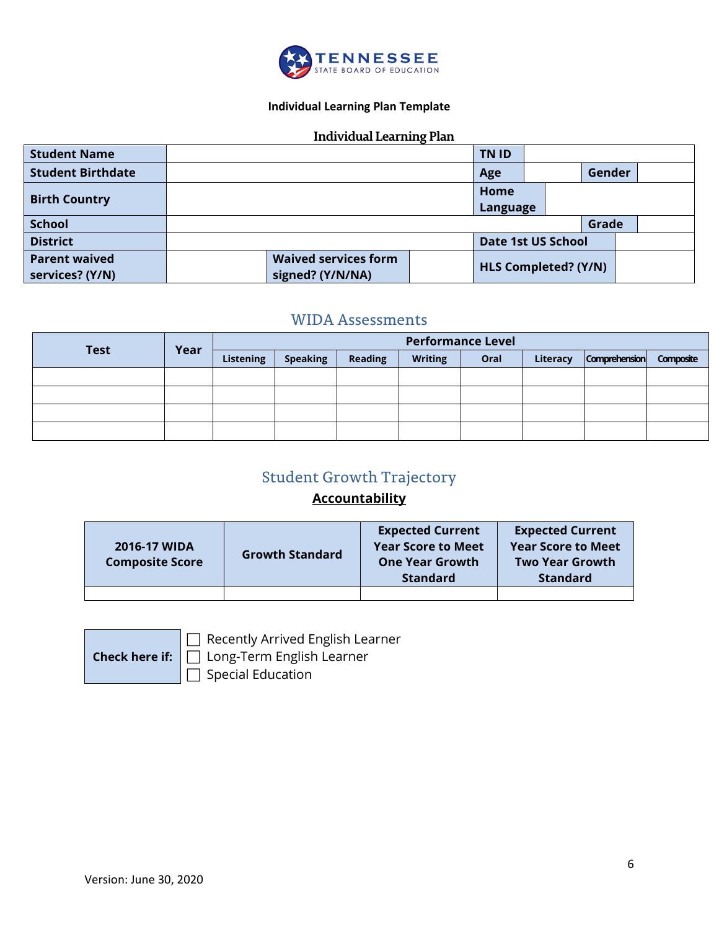

## **Individual Learning Plan Template**

## **Individual Learning Plan**

<span id="page-5-0"></span>

| <b>Student Name</b>                     |                                                 | TN ID |                      |                           |       |  |
|-----------------------------------------|-------------------------------------------------|-------|----------------------|---------------------------|-------|--|
| <b>Student Birthdate</b>                |                                                 | Age   |                      | Gender                    |       |  |
| <b>Birth Country</b>                    | Home                                            |       |                      | Language                  |       |  |
| <b>School</b>                           |                                                 |       |                      |                           | Grade |  |
| <b>District</b>                         |                                                 |       |                      | <b>Date 1st US School</b> |       |  |
| <b>Parent waived</b><br>services? (Y/N) | <b>Waived services form</b><br>signed? (Y/N/NA) |       | HLS Completed? (Y/N) |                           |       |  |

# WIDA Assessments

| <b>Test</b> | Year |                  |                 |                | <b>Performance Level</b> |      |          |                      |           |
|-------------|------|------------------|-----------------|----------------|--------------------------|------|----------|----------------------|-----------|
|             |      | <b>Listening</b> | <b>Speaking</b> | <b>Reading</b> | <b>Writing</b>           | Oral | Literacy | <b>Comprehension</b> | Composite |
|             |      |                  |                 |                |                          |      |          |                      |           |
|             |      |                  |                 |                |                          |      |          |                      |           |
|             |      |                  |                 |                |                          |      |          |                      |           |
|             |      |                  |                 |                |                          |      |          |                      |           |

# Student Growth Trajectory

# **Accountability**

| 2016-17 WIDA<br><b>Composite Score</b> | <b>Growth Standard</b> | <b>Expected Current</b><br><b>Year Score to Meet</b><br><b>One Year Growth</b><br><b>Standard</b> | <b>Expected Current</b><br><b>Year Score to Meet</b><br><b>Two Year Growth</b><br><b>Standard</b> |
|----------------------------------------|------------------------|---------------------------------------------------------------------------------------------------|---------------------------------------------------------------------------------------------------|
|                                        |                        |                                                                                                   |                                                                                                   |

Recently Arrived English Learner

□ Long-Term English Learner

 $\Box$  Special Education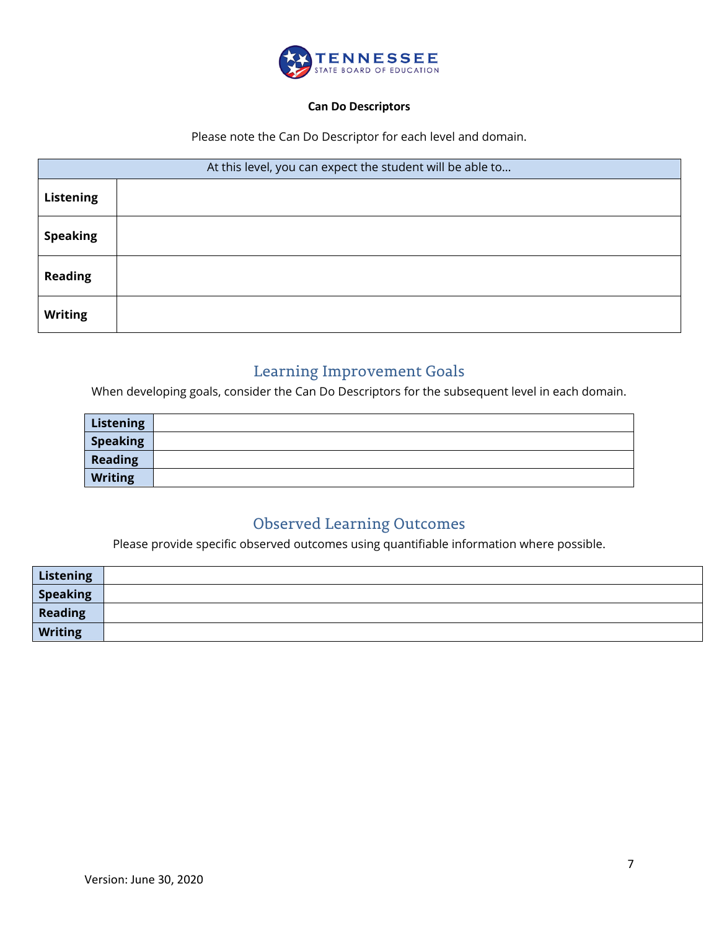

#### **Can Do Descriptors**

Please note the Can Do Descriptor for each level and domain.

| At this level, you can expect the student will be able to |  |  |  |  |
|-----------------------------------------------------------|--|--|--|--|
| <b>Listening</b>                                          |  |  |  |  |
| <b>Speaking</b>                                           |  |  |  |  |
| <b>Reading</b>                                            |  |  |  |  |
| <b>Writing</b>                                            |  |  |  |  |

# Learning Improvement Goals

When developing goals, consider the Can Do Descriptors for the subsequent level in each domain.

| <b>Listening</b> |  |
|------------------|--|
| <b>Speaking</b>  |  |
| <b>Reading</b>   |  |
| <b>Writing</b>   |  |

# Observed Learning Outcomes

Please provide specific observed outcomes using quantifiable information where possible.

| Listening                           |  |
|-------------------------------------|--|
| $\overline{\phantom{a}}$ Speaking   |  |
| Reading<br>$\overline{\phantom{a}}$ |  |
| Writing                             |  |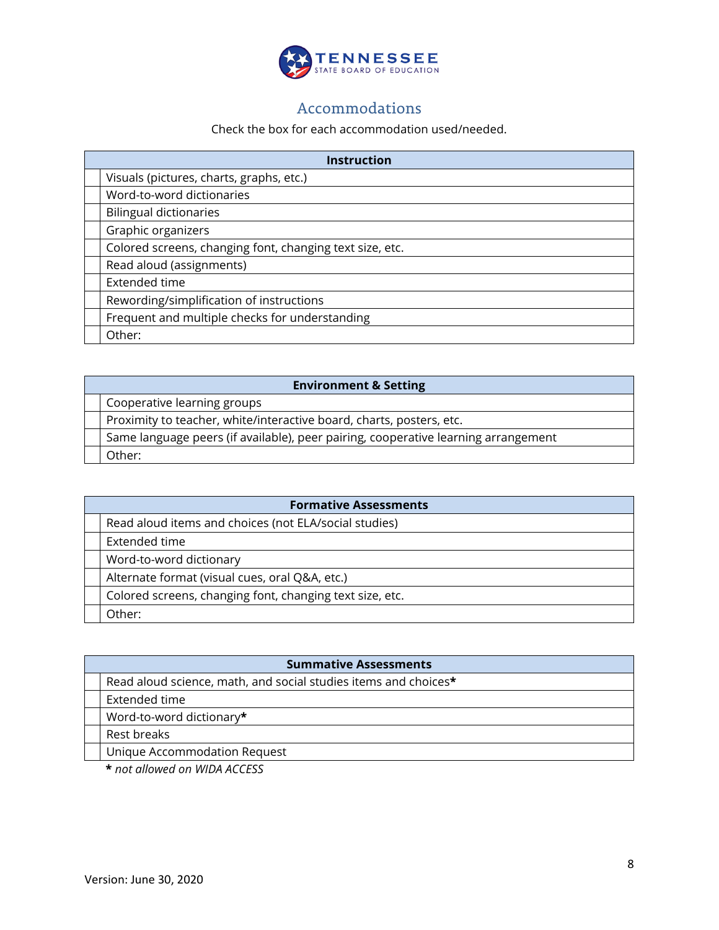

# Accommodations

#### Check the box for each accommodation used/needed.

| <b>Instruction</b>                                       |  |  |  |  |
|----------------------------------------------------------|--|--|--|--|
| Visuals (pictures, charts, graphs, etc.)                 |  |  |  |  |
| Word-to-word dictionaries                                |  |  |  |  |
| <b>Bilingual dictionaries</b>                            |  |  |  |  |
| Graphic organizers                                       |  |  |  |  |
| Colored screens, changing font, changing text size, etc. |  |  |  |  |
| Read aloud (assignments)                                 |  |  |  |  |
| Extended time                                            |  |  |  |  |
| Rewording/simplification of instructions                 |  |  |  |  |
| Frequent and multiple checks for understanding           |  |  |  |  |
| Other:                                                   |  |  |  |  |

| <b>Environment &amp; Setting</b>                                                   |  |  |  |  |
|------------------------------------------------------------------------------------|--|--|--|--|
| Cooperative learning groups                                                        |  |  |  |  |
| Proximity to teacher, white/interactive board, charts, posters, etc.               |  |  |  |  |
| Same language peers (if available), peer pairing, cooperative learning arrangement |  |  |  |  |
| Other:                                                                             |  |  |  |  |

| <b>Formative Assessments</b>                             |  |  |  |
|----------------------------------------------------------|--|--|--|
| Read aloud items and choices (not ELA/social studies)    |  |  |  |
| Extended time                                            |  |  |  |
| Word-to-word dictionary                                  |  |  |  |
| Alternate format (visual cues, oral Q&A, etc.)           |  |  |  |
| Colored screens, changing font, changing text size, etc. |  |  |  |
| Other:                                                   |  |  |  |

| <b>Summative Assessments</b>                                    |  |  |  |
|-----------------------------------------------------------------|--|--|--|
| Read aloud science, math, and social studies items and choices* |  |  |  |
| Extended time                                                   |  |  |  |
| Word-to-word dictionary*                                        |  |  |  |
| Rest breaks                                                     |  |  |  |
| Unique Accommodation Request                                    |  |  |  |
| $*$ not allowed an $MIDA$ ACCECC                                |  |  |  |

**\*** *not allowed on WIDA ACCESS*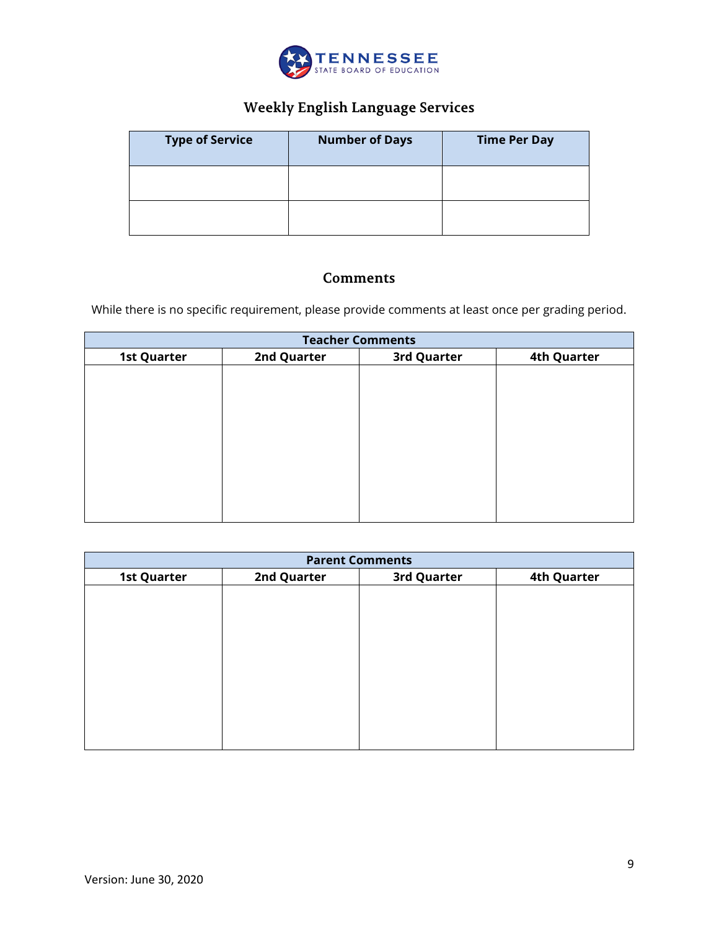

# **Weekly English Language Services**

| <b>Type of Service</b> | <b>Number of Days</b> | <b>Time Per Day</b> |
|------------------------|-----------------------|---------------------|
|                        |                       |                     |
|                        |                       |                     |

# **Comments**

While there is no specific requirement, please provide comments at least once per grading period.

| <b>Teacher Comments</b> |             |             |                    |  |  |
|-------------------------|-------------|-------------|--------------------|--|--|
| <b>1st Quarter</b>      | 2nd Quarter | 3rd Quarter | <b>4th Quarter</b> |  |  |
|                         |             |             |                    |  |  |
|                         |             |             |                    |  |  |
|                         |             |             |                    |  |  |
|                         |             |             |                    |  |  |
|                         |             |             |                    |  |  |
|                         |             |             |                    |  |  |
|                         |             |             |                    |  |  |
|                         |             |             |                    |  |  |
|                         |             |             |                    |  |  |
|                         |             |             |                    |  |  |

| <b>Parent Comments</b> |             |             |                    |  |  |
|------------------------|-------------|-------------|--------------------|--|--|
| <b>1st Quarter</b>     | 2nd Quarter | 3rd Quarter | <b>4th Quarter</b> |  |  |
|                        |             |             |                    |  |  |
|                        |             |             |                    |  |  |
|                        |             |             |                    |  |  |
|                        |             |             |                    |  |  |
|                        |             |             |                    |  |  |
|                        |             |             |                    |  |  |
|                        |             |             |                    |  |  |
|                        |             |             |                    |  |  |
|                        |             |             |                    |  |  |
|                        |             |             |                    |  |  |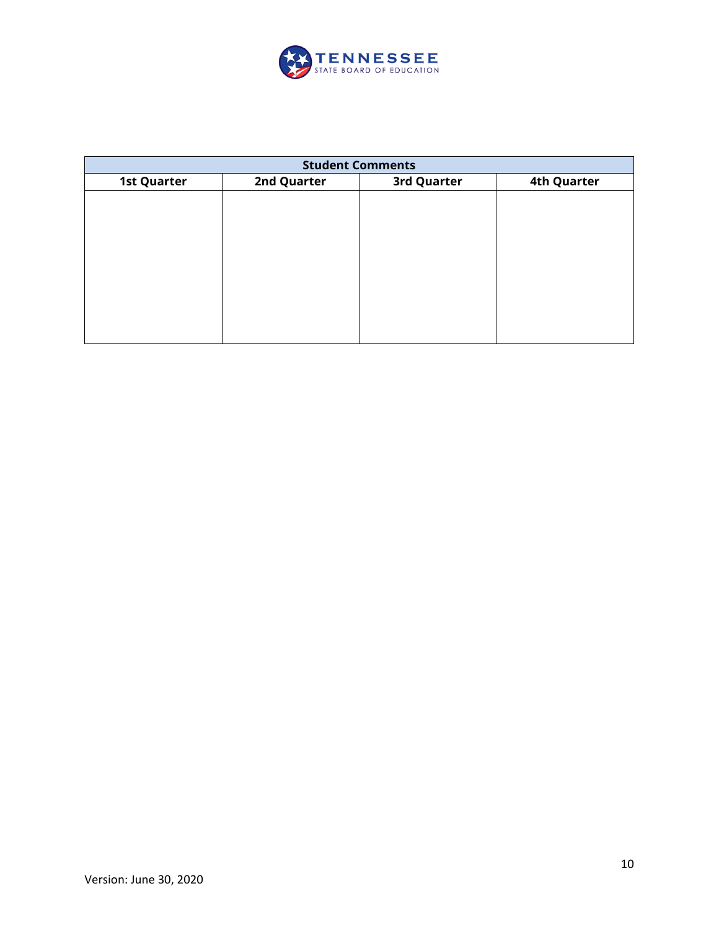

| <b>Student Comments</b> |             |             |                    |  |  |
|-------------------------|-------------|-------------|--------------------|--|--|
| <b>1st Quarter</b>      | 2nd Quarter | 3rd Quarter | <b>4th Quarter</b> |  |  |
|                         |             |             |                    |  |  |
|                         |             |             |                    |  |  |
|                         |             |             |                    |  |  |
|                         |             |             |                    |  |  |
|                         |             |             |                    |  |  |
|                         |             |             |                    |  |  |
|                         |             |             |                    |  |  |
|                         |             |             |                    |  |  |
|                         |             |             |                    |  |  |